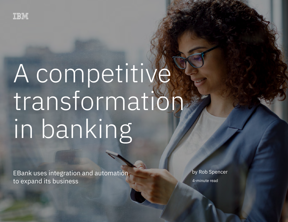

# A competitive transformation in banking

 $E$ ank uses integration and automation and automation to expand its business  $\mathbb{E}[E]$ 

EBank uses integration and automation to expand its business

by Rob Spencer

4-minute read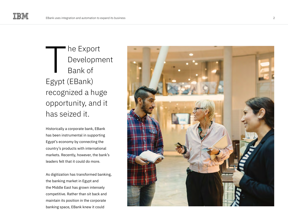he Export Development Bank of Egypt (EBank) recognized a huge opportunity, and it has seized it. The Export<br>Developme<br>Bank of<br>Egypt (EBank)<br>recognized a huge<br>opportunity, and i<br>has seized it.<br>Historically a corporate bank, EBank<br>has been instrumental in supporting<br>Egypt's economy by connecting the<br>country's products w

Historically a corporate bank, EBank has been instrumental in supporting Egypt's economy by connecting the country's products with international markets. Recently, however, the bank's leaders felt that it could do more.

As digitization has transformed banking, the banking market in Egypt and the Middle East has grown intensely competitive. Rather than sit back and maintain its position in the corporate

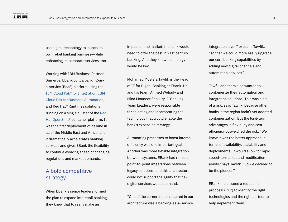use digital technology to launch its own retail banking business—while enhancing its corporate services, too.

Working with IBM Business Partner Sumerge, EBank built a banking-asa-service (BaaS) platform using the [IBM Cloud Pak® for Integration](https://www.ibm.com/cloud/cloud-pak-for-integration), [IBM](https://www.ibm.com/cloud/cloud-pak-for-business-automation)  [Cloud Pak for Business Automation](https://www.ibm.com/cloud/cloud-pak-for-business-automation), and Red Hat® Runtimes solutions running on a single cluster of the [Red](https://www.ibm.com/cloud/openshift)  [Hat OpenShift®](https://www.ibm.com/cloud/openshift) container platform. It was the first deployment of its kind in all of the Middle East and Africa, and it dramatically accelerates banking services and gives EBank the flexibility to continue evolving ahead of changing regulations and market demands.

## A bold competitive strategy

When EBank's senior leaders formed the plan to expand into retail banking, they knew that to really make an

impact on the market, the bank would need to offer the best in 21st century banking. And they knew technology would be key.

Mohamed Mostafa Tawfik is the Head of IT for Digital Banking at EBank. He and his team, Ahmed Wehady and Mina Mouneer Shoukry, E-Banking Team Leaders, were responsible for selecting and incorporating the technology that would enable the bank's expansion strategy.

Automating processes to boost internal efficiency was one important goal. Another was more flexible integration between systems. EBank had relied on point-to-point integrations between legacy solutions, and this architecture could not support the agility that new digital services would demand.

"One of the cornerstones required in our architecture was a banking-as-a-service

integration layer," explains Tawfik, "so that we could more easily upgrade our core banking capabilities by adding new digital channels and automation services."

Tawfik and team also wanted to containerize their automation and integration solutions. This was a bit of a risk, says Tawfik, because other banks in the region hadn't yet adopted containerization. But the long-term advantages in flexibility and cost efficiency outweighed the risk. "We knew it was the better approach in terms of availability, scalability and deployments. It would allow for rapid speed-to-market and modification ability," says Tawifk. "So we decided to be the pioneer."

EBank then issued a request for proposal (RFP) to identify the right technologies and the right partner to help implement them.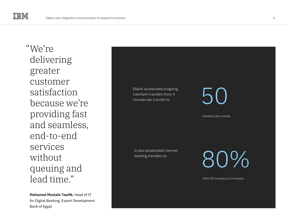We're " delivering greater customer satisfaction because we're providing fast and seamless, end-to-end services without queuing and lead time."

**Mohamed Mostafa Tawfik**, Head of IT for Digital Banking, Export Development Bank of Egypt

EBank accelerated outgoing interbank transfers from 4 minutes per transfer to transfers per minute 50 It also accelerated internet banking transfers by

80%

from 10 minutes to 2 minutes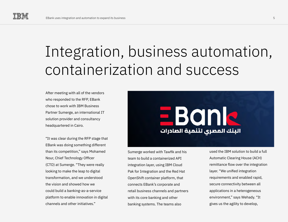# Integration, business automation, containerization and success

After meeting with all of the vendors who responded to the RFP, EBank chose to work with IBM Business Partner Sumerge, an international IT solution provider and consultancy headquartered in Cairo.

"It was clear during the RFP stage that EBank was doing something different than its competition," says Mohamed Nour, Chief Technology Officer (CTO) at Sumerge. "They were really looking to make the leap to digital transformation, and we understood the vision and showed how we could build a banking-as-a-service platform to enable innovation in digital channels and other initiatives."



Sumerge worked with Tawfik and his team to build a containerized API integration layer, using IBM Cloud Pak for Integration and the Red Hat OpenShift container platform, that connects EBank's corporate and retail business channels and partners with its core banking and other banking systems. The teams also

used the IBM solution to build a full Automatic Clearing House (ACH) remittance flow over the integration layer. "We unified integration requirements and enabled rapid, secure connectivity between all applications in a heterogeneous environment," says Wehady. "It gives us the agility to develop,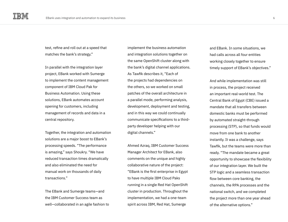test, refine and roll out at a speed that matches the bank's strategy."

In parallel with the integration layer project, EBank worked with Sumerge to implement the content management component of IBM Cloud Pak for Business Automation. Using these solutions, EBank automates account opening for customers, including management of records and data in a central repository.

Together, the integration and automation solutions are a major boost to EBank's processing speeds. "The performance is amazing," says Shoukry. "We have reduced transaction times dramatically and also eliminated the need for manual work on thousands of daily transactions."

The EBank and Sumerge teams—and the IBM Customer Success team as well—collaborated in an agile fashion to

implement the business automation and integration solutions together on the same OpenShift cluster along with the bank's digital channel applications. As Tawfik describes it, "Each of the projects had dependencies on the others, so we worked on small patches of the overall architecture in a parallel mode, performing analysis, development, deployment and testing, and in this way we could continually communicate specifications to a thirdparty developer helping with our digital channels."

Ahmed Azraq, IBM Customer Success Manager Architect for EBank, also comments on the unique and highly collaborative nature of the project: "EBank is the first enterprise in Egypt to have multiple IBM Cloud Paks running in a single Red Hat OpenShift cluster in production. Throughout the implementation, we had a one-team spirit across IBM, Red Hat, Sumerge

and EBank. In some situations, we had calls across all four entities working closely together to ensure timely support of EBank's objectives."

And while implementation was still in process, the project received an important real-world test. The Central Bank of Egypt (CBE) issued a mandate that all transfers between domestic banks must be performed by automated straight-through processing (STP), so that funds would move from one bank to another instantly. It was a challenge, says Tawfik, but the teams were more than ready. "The mandate became a great opportunity to showcase the flexibility of our integration layer. We built the STP logic and a seamless transaction flow between core banking, the channels, the RPA processes and the national switch, and we completed the project more than one year ahead of the alternative options."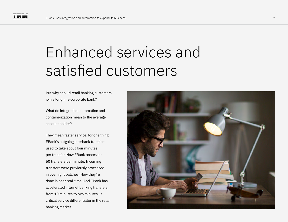## Enhanced services and satisfied customers

But why should retail banking customers join a longtime corporate bank?

What do integration, automation and containerization mean to the average account holder?

They mean faster service, for one thing. EBank's outgoing interbank transfers used to take about four minutes per transfer. Now EBank processes 50 transfers per minute. Incoming transfers were previously processed in overnight batches. Now they're done in near real-time. And EBank has accelerated internet banking transfers from 10 minutes to two minutes—a critical service differentiator in the retail banking market.

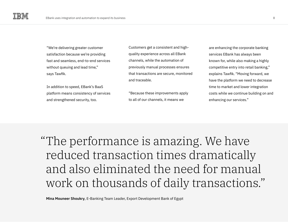"We're delivering greater customer satisfaction because we're providing fast and seamless, end-to-end services without queuing and lead time," says Tawfik.

In addition to speed, EBank's BaaS platform means consistency of services and strengthened security, too.

Customers get a consistent and highquality experience across all EBank channels, while the automation of previously manual processes ensures that transactions are secure, monitored and traceable.

"Because these improvements apply to all of our channels, it means we

are enhancing the corporate banking services EBank has always been known for, while also making a highly competitive entry into retail banking," explains Tawfik. "Moving forward, we have the platform we need to decrease time to market and lower integration costs while we continue building on and enhancing our services."

The performance is amazing. We have " reduced transaction times dramatically and also eliminated the need for manual work on thousands of daily transactions."

**Mina Mouneer Shoukry**, E-Banking Team Leader, Export Development Bank of Egypt